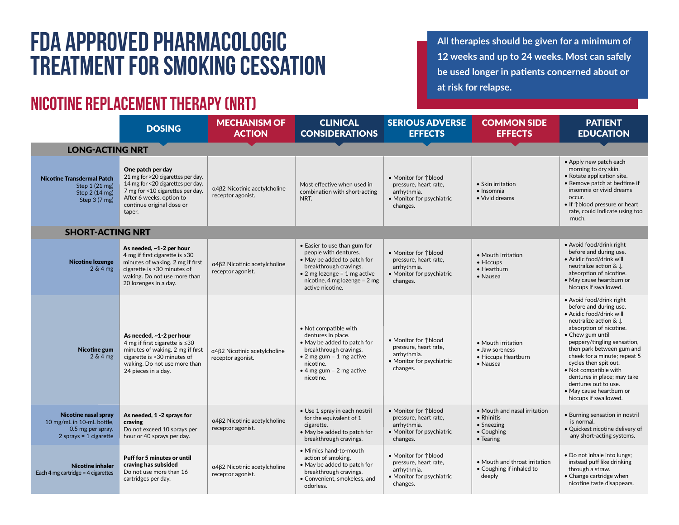## **FDA Approved Pharmacologic Treatment for Smoking Cessation**

## **Nicotine replacement therapy (NRT)**

**All therapies should be given for a minimum of 12 weeks and up to 24 weeks. Most can safely be used longer in patients concerned about or at risk for relapse.**

|                                                                                                           | <b>DOSING</b>                                                                                                                                                                                      | <b>MECHANISM OF</b><br><b>ACTION</b>              | <b>CLINICAL</b><br><b>CONSIDERATIONS</b>                                                                                                                                                              | <b>SERIOUS ADVERSE</b><br><b>EFFECTS</b>                                                              | <b>COMMON SIDE</b><br><b>EFFECTS</b>                                                | <b>PATIENT</b><br><b>EDUCATION</b>                                                                                                                                                                                                                                                                                                                                                                               |  |  |  |  |
|-----------------------------------------------------------------------------------------------------------|----------------------------------------------------------------------------------------------------------------------------------------------------------------------------------------------------|---------------------------------------------------|-------------------------------------------------------------------------------------------------------------------------------------------------------------------------------------------------------|-------------------------------------------------------------------------------------------------------|-------------------------------------------------------------------------------------|------------------------------------------------------------------------------------------------------------------------------------------------------------------------------------------------------------------------------------------------------------------------------------------------------------------------------------------------------------------------------------------------------------------|--|--|--|--|
| <b>LONG-ACTING NRT</b>                                                                                    |                                                                                                                                                                                                    |                                                   |                                                                                                                                                                                                       |                                                                                                       |                                                                                     |                                                                                                                                                                                                                                                                                                                                                                                                                  |  |  |  |  |
| <b>Nicotine Transdermal Patch</b><br>Step 1 (21 mg)<br>Step 2 (14 mg)<br>Step 3 (7 mg)                    | One patch per day<br>21 mg for >20 cigarettes per day.<br>14 mg for <20 cigarettes per day.<br>7 mg for <10 cigarettes per day.<br>After 6 weeks, option to<br>continue original dose or<br>taper. | α4β2 Nicotinic acetylcholine<br>receptor agonist. | Most effective when used in<br>combination with short-acting<br>NRT.                                                                                                                                  | • Monitor for 1blood<br>pressure, heart rate,<br>arrhythmia.<br>• Monitor for psychiatric<br>changes. | • Skin irritation<br>$\bullet$ Insomnia<br>• Vivid dreams                           | • Apply new patch each<br>morning to dry skin.<br>• Rotate application site.<br>• Remove patch at bedtime if<br>insomnia or vivid dreams<br>occur.<br>• If 1blood pressure or heart<br>rate, could indicate using too<br>much.                                                                                                                                                                                   |  |  |  |  |
| <b>SHORT-ACTING NRT</b>                                                                                   |                                                                                                                                                                                                    |                                                   |                                                                                                                                                                                                       |                                                                                                       |                                                                                     |                                                                                                                                                                                                                                                                                                                                                                                                                  |  |  |  |  |
| <b>Nicotine lozenge</b><br>$2 & 4$ mg                                                                     | As needed, ~1-2 per hour<br>4 mg if first cigarette is $\leq 30$<br>minutes of waking. 2 mg if first<br>cigarette is > 30 minutes of<br>waking. Do not use more than<br>20 lozenges in a day.      | α4β2 Nicotinic acetylcholine<br>receptor agonist. | • Easier to use than gum for<br>people with dentures.<br>• May be added to patch for<br>breakthrough cravings.<br>• 2 mg lozenge = 1 mg active<br>nicotine, 4 mg lozenge = $2$ mg<br>active nicotine. | • Monitor for 1blood<br>pressure, heart rate,<br>arrhythmia.<br>• Monitor for psychiatric<br>changes. | • Mouth irritation<br>• Hiccups<br>• Heartburn<br>• Nausea                          | • Avoid food/drink right<br>before and during use.<br>· Acidic food/drink will<br>neutralize action $\& \downarrow$<br>absorption of nicotine.<br>• May cause heartburn or<br>hiccups if swallowed.                                                                                                                                                                                                              |  |  |  |  |
| Nicotine gum<br>$2 & 4$ mg                                                                                | As needed, ~1-2 per hour<br>4 mg if first cigarette is ≤30<br>minutes of waking. 2 mg if first<br>cigarette is >30 minutes of<br>waking. Do not use more than<br>24 pieces in a day.               | α4β2 Nicotinic acetylcholine<br>receptor agonist. | • Not compatible with<br>dentures in place.<br>• May be added to patch for<br>breakthrough cravings.<br>• 2 mg gum = 1 mg active<br>nicotine.<br>$\bullet$ 4 mg gum = 2 mg active<br>nicotine.        | • Monitor for 1blood<br>pressure, heart rate.<br>arrhythmia.<br>• Monitor for psychiatric<br>changes. | • Mouth irritation<br>• Jaw soreness<br>• Hiccups Heartburn<br>• Nausea             | • Avoid food/drink right<br>before and during use.<br>· Acidic food/drink will<br>neutralize action & J<br>absorption of nicotine.<br>• Chew gum until<br>peppery/tingling sensation,<br>then park between gum and<br>cheek for a minute; repeat 5<br>cycles then spit out.<br>• Not compatible with<br>dentures in place; may take<br>dentures out to use.<br>• May cause heartburn or<br>hiccups if swallowed. |  |  |  |  |
| <b>Nicotine nasal spray</b><br>10 mg/mL in 10-mL bottle,<br>0.5 mg per spray.<br>$2$ sprays = 1 cigarette | As needed, 1 -2 sprays for<br>craving<br>Do not exceed 10 sprays per<br>hour or 40 sprays per day.                                                                                                 | α4β2 Nicotinic acetylcholine<br>receptor agonist. | • Use 1 spray in each nostril<br>for the equivalent of 1<br>cigarette.<br>. May be added to patch for<br>breakthrough cravings.                                                                       | • Monitor for 1blood<br>pressure, heart rate,<br>arrhythmia.<br>• Monitor for psychiatric<br>changes. | • Mouth and nasal irritation<br>• Rhinitis<br>• Sneezing<br>• Coughing<br>• Tearing | • Burning sensation in nostril<br>is normal.<br>· Quickest nicotine delivery of<br>any short-acting systems.                                                                                                                                                                                                                                                                                                     |  |  |  |  |
| <b>Nicotine inhaler</b><br>Each 4 mg cartridge = $4$ cigarettes                                           | Puff for 5 minutes or until<br>craving has subsided<br>Do not use more than 16<br>cartridges per day.                                                                                              | α4β2 Nicotinic acetylcholine<br>receptor agonist. | • Mimics hand-to-mouth<br>action of smoking.<br>• May be added to patch for<br>breakthrough cravings.<br>• Convenient, smokeless, and<br>odorless.                                                    | • Monitor for 1blood<br>pressure, heart rate,<br>arrhythmia.<br>• Monitor for psychiatric<br>changes. | • Mouth and throat irritation<br>• Coughing if inhaled to<br>deeply                 | . Do not inhale into lungs;<br>instead puff like drinking<br>through a straw.<br>• Change cartridge when<br>nicotine taste disappears.                                                                                                                                                                                                                                                                           |  |  |  |  |